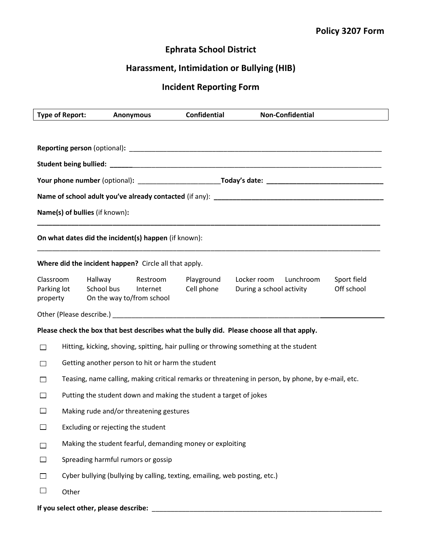## Ephrata School District

## Harassment, Intimidation or Bullying (HIB)

## Incident Reporting Form

| <b>Type of Report:</b>         |                                                                                                                |                                                                            | <b>Anonymous</b>                                      | <b>Confidential</b> | <b>Non-Confidential</b>                                                                    |                           |  |
|--------------------------------|----------------------------------------------------------------------------------------------------------------|----------------------------------------------------------------------------|-------------------------------------------------------|---------------------|--------------------------------------------------------------------------------------------|---------------------------|--|
|                                |                                                                                                                |                                                                            |                                                       |                     |                                                                                            |                           |  |
|                                |                                                                                                                |                                                                            |                                                       |                     |                                                                                            |                           |  |
|                                |                                                                                                                |                                                                            |                                                       |                     |                                                                                            |                           |  |
|                                | Your phone number (optional): _______________________________Today's date: ___________________________________ |                                                                            |                                                       |                     |                                                                                            |                           |  |
|                                |                                                                                                                |                                                                            |                                                       |                     |                                                                                            |                           |  |
| Name(s) of bullies (if known): |                                                                                                                |                                                                            |                                                       |                     |                                                                                            |                           |  |
|                                |                                                                                                                |                                                                            | On what dates did the incident(s) happen (if known):  |                     |                                                                                            |                           |  |
|                                |                                                                                                                |                                                                            | Where did the incident happen? Circle all that apply. |                     |                                                                                            |                           |  |
| Classroom<br>Parking lot       | property                                                                                                       | Hallway<br>School bus                                                      | Restroom<br>Internet<br>On the way to/from school     | Cell phone          | Playground Locker room Lunchroom<br>During a school activity                               | Sport field<br>Off school |  |
|                                |                                                                                                                |                                                                            |                                                       |                     |                                                                                            |                           |  |
|                                |                                                                                                                |                                                                            |                                                       |                     | Please check the box that best describes what the bully did. Please choose all that apply. |                           |  |
| П                              | Hitting, kicking, shoving, spitting, hair pulling or throwing something at the student                         |                                                                            |                                                       |                     |                                                                                            |                           |  |
|                                | Getting another person to hit or harm the student                                                              |                                                                            |                                                       |                     |                                                                                            |                           |  |
|                                | Teasing, name calling, making critical remarks or threatening in person, by phone, by e-mail, etc.             |                                                                            |                                                       |                     |                                                                                            |                           |  |
|                                | Putting the student down and making the student a target of jokes                                              |                                                                            |                                                       |                     |                                                                                            |                           |  |
| $\mathsf{L}$                   | Making rude and/or threatening gestures                                                                        |                                                                            |                                                       |                     |                                                                                            |                           |  |
|                                | Excluding or rejecting the student                                                                             |                                                                            |                                                       |                     |                                                                                            |                           |  |
|                                | Making the student fearful, demanding money or exploiting                                                      |                                                                            |                                                       |                     |                                                                                            |                           |  |
| $\mathbf{I}$                   | Spreading harmful rumors or gossip                                                                             |                                                                            |                                                       |                     |                                                                                            |                           |  |
| $\mathbf{I}$                   |                                                                                                                | Cyber bullying (bullying by calling, texting, emailing, web posting, etc.) |                                                       |                     |                                                                                            |                           |  |
| $\Box$                         | Other                                                                                                          |                                                                            |                                                       |                     |                                                                                            |                           |  |
|                                |                                                                                                                | If you select other, please describe:                                      |                                                       |                     |                                                                                            |                           |  |